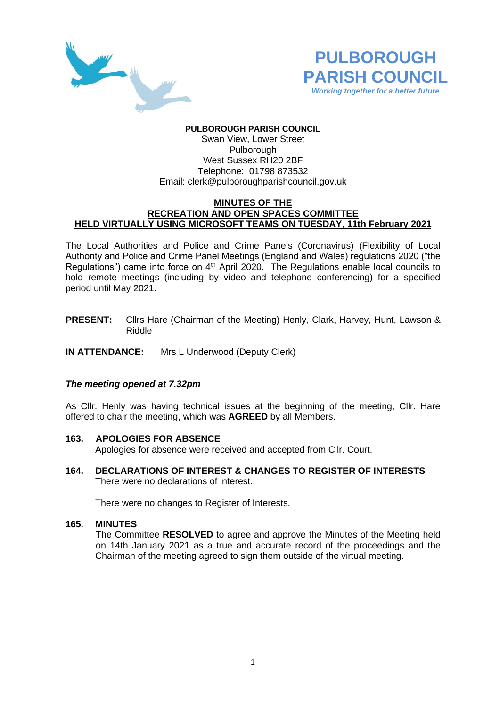



# **PULBOROUGH PARISH COUNCIL**

Swan View, Lower Street Pulborough West Sussex RH20 2BF Telephone: 01798 873532 Email: [clerk@pulboroughparishcouncil.gov.uk](mailto:clerk@pulboroughparishcouncil.gov.uk)

#### **MINUTES OF THE RECREATION AND OPEN SPACES COMMITTEE HELD VIRTUALLY USING MICROSOFT TEAMS ON TUESDAY, 11th February 2021**

The Local Authorities and Police and Crime Panels (Coronavirus) (Flexibility of Local Authority and Police and Crime Panel Meetings (England and Wales) regulations 2020 ("the Regulations") came into force on  $4<sup>th</sup>$  April 2020. The Regulations enable local councils to hold remote meetings (including by video and telephone conferencing) for a specified period until May 2021.

**PRESENT:** Cllrs Hare (Chairman of the Meeting) Henly, Clark, Harvey, Hunt, Lawson & Riddle

**IN ATTENDANCE:** Mrs L Underwood (Deputy Clerk)

### *The meeting opened at 7.32pm*

As Cllr. Henly was having technical issues at the beginning of the meeting, Cllr. Hare offered to chair the meeting, which was **AGREED** by all Members.

#### **163. APOLOGIES FOR ABSENCE**

Apologies for absence were received and accepted from Cllr. Court.

**164. DECLARATIONS OF INTEREST & CHANGES TO REGISTER OF INTERESTS** There were no declarations of interest.

There were no changes to Register of Interests.

#### **165. MINUTES**

The Committee **RESOLVED** to agree and approve the Minutes of the Meeting held on 14th January 2021 as a true and accurate record of the proceedings and the Chairman of the meeting agreed to sign them outside of the virtual meeting.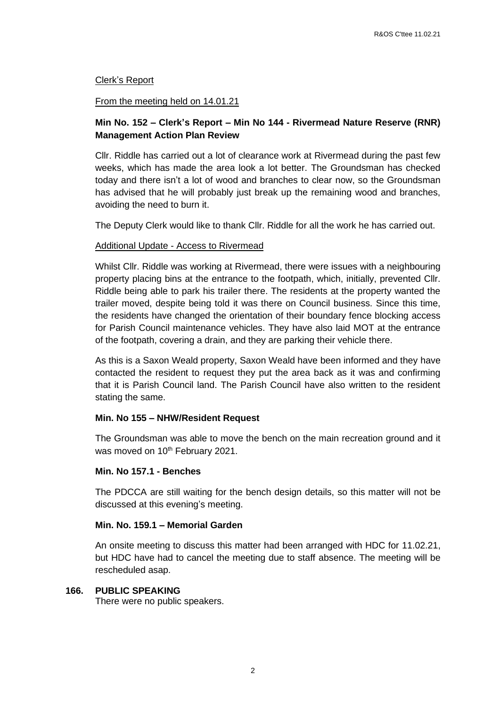### Clerk's Report

#### From the meeting held on 14.01.21

### **Min No. 152 – Clerk's Report – Min No 144 - Rivermead Nature Reserve (RNR) Management Action Plan Review**

Cllr. Riddle has carried out a lot of clearance work at Rivermead during the past few weeks, which has made the area look a lot better. The Groundsman has checked today and there isn't a lot of wood and branches to clear now, so the Groundsman has advised that he will probably just break up the remaining wood and branches, avoiding the need to burn it.

The Deputy Clerk would like to thank Cllr. Riddle for all the work he has carried out.

### Additional Update - Access to Rivermead

Whilst Cllr. Riddle was working at Rivermead, there were issues with a neighbouring property placing bins at the entrance to the footpath, which, initially, prevented Cllr. Riddle being able to park his trailer there. The residents at the property wanted the trailer moved, despite being told it was there on Council business. Since this time, the residents have changed the orientation of their boundary fence blocking access for Parish Council maintenance vehicles. They have also laid MOT at the entrance of the footpath, covering a drain, and they are parking their vehicle there.

As this is a Saxon Weald property, Saxon Weald have been informed and they have contacted the resident to request they put the area back as it was and confirming that it is Parish Council land. The Parish Council have also written to the resident stating the same.

#### **Min. No 155 – NHW/Resident Request**

The Groundsman was able to move the bench on the main recreation ground and it was moved on 10<sup>th</sup> February 2021.

## **Min. No 157.1 - Benches**

The PDCCA are still waiting for the bench design details, so this matter will not be discussed at this evening's meeting.

#### **Min. No. 159.1 – Memorial Garden**

An onsite meeting to discuss this matter had been arranged with HDC for 11.02.21, but HDC have had to cancel the meeting due to staff absence. The meeting will be rescheduled asap.

#### **166. PUBLIC SPEAKING**

There were no public speakers.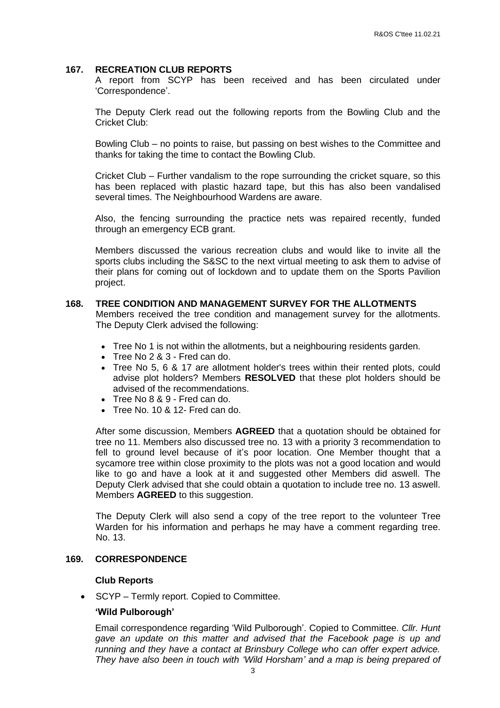#### **167. RECREATION CLUB REPORTS**

A report from SCYP has been received and has been circulated under 'Correspondence'.

The Deputy Clerk read out the following reports from the Bowling Club and the Cricket Club:

Bowling Club – no points to raise, but passing on best wishes to the Committee and thanks for taking the time to contact the Bowling Club.

Cricket Club – Further vandalism to the rope surrounding the cricket square, so this has been replaced with plastic hazard tape, but this has also been vandalised several times. The Neighbourhood Wardens are aware.

Also, the fencing surrounding the practice nets was repaired recently, funded through an emergency ECB grant.

Members discussed the various recreation clubs and would like to invite all the sports clubs including the S&SC to the next virtual meeting to ask them to advise of their plans for coming out of lockdown and to update them on the Sports Pavilion project.

### **168. TREE CONDITION AND MANAGEMENT SURVEY FOR THE ALLOTMENTS**

Members received the tree condition and management survey for the allotments. The Deputy Clerk advised the following:

- Tree No 1 is not within the allotments, but a neighbouring residents garden.
- Tree No 2 & 3 Fred can do.
- Tree No 5, 6 & 17 are allotment holder's trees within their rented plots, could advise plot holders? Members **RESOLVED** that these plot holders should be advised of the recommendations.
- Tree No 8 & 9 Fred can do.
- Tree No. 10 & 12- Fred can do.

After some discussion, Members **AGREED** that a quotation should be obtained for tree no 11. Members also discussed tree no. 13 with a priority 3 recommendation to fell to ground level because of it's poor location. One Member thought that a sycamore tree within close proximity to the plots was not a good location and would like to go and have a look at it and suggested other Members did aswell. The Deputy Clerk advised that she could obtain a quotation to include tree no. 13 aswell. Members **AGREED** to this suggestion.

The Deputy Clerk will also send a copy of the tree report to the volunteer Tree Warden for his information and perhaps he may have a comment regarding tree. No. 13.

## **169. CORRESPONDENCE**

#### **Club Reports**

• SCYP – Termly report. Copied to Committee.

#### **'Wild Pulborough'**

Email correspondence regarding 'Wild Pulborough'. Copied to Committee. *Cllr. Hunt gave an update on this matter and advised that the Facebook page is up and running and they have a contact at Brinsbury College who can offer expert advice. They have also been in touch with 'Wild Horsham' and a map is being prepared of*